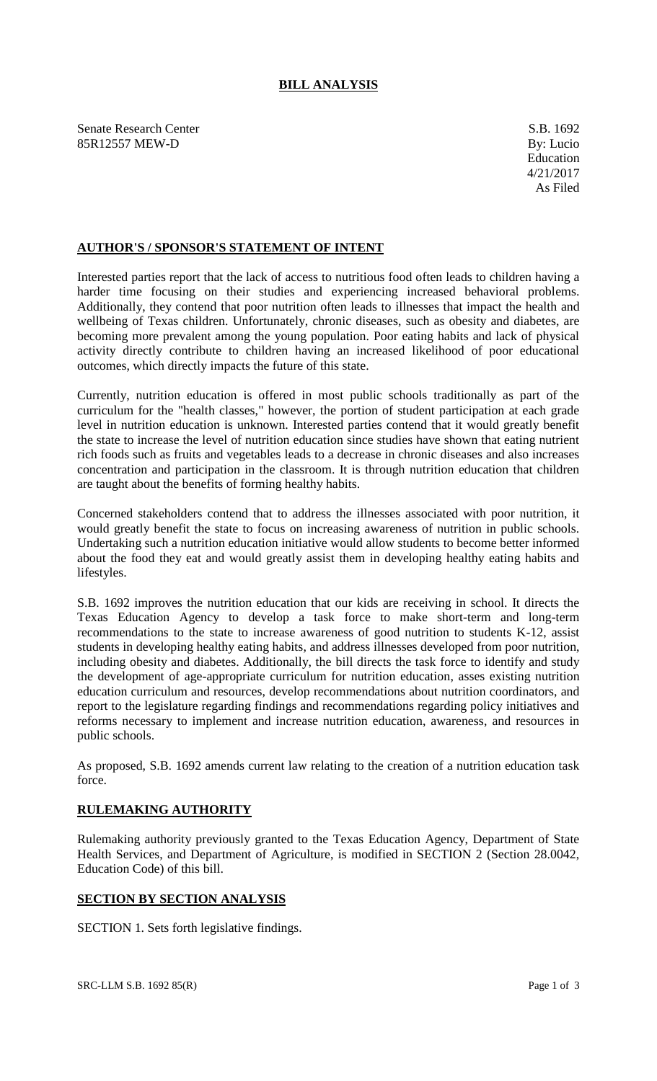## **BILL ANALYSIS**

Senate Research Center S.B. 1692 85R12557 MEW-D By: Lucio

## **AUTHOR'S / SPONSOR'S STATEMENT OF INTENT**

Interested parties report that the lack of access to nutritious food often leads to children having a harder time focusing on their studies and experiencing increased behavioral problems. Additionally, they contend that poor nutrition often leads to illnesses that impact the health and wellbeing of Texas children. Unfortunately, chronic diseases, such as obesity and diabetes, are becoming more prevalent among the young population. Poor eating habits and lack of physical activity directly contribute to children having an increased likelihood of poor educational outcomes, which directly impacts the future of this state.

Currently, nutrition education is offered in most public schools traditionally as part of the curriculum for the "health classes," however, the portion of student participation at each grade level in nutrition education is unknown. Interested parties contend that it would greatly benefit the state to increase the level of nutrition education since studies have shown that eating nutrient rich foods such as fruits and vegetables leads to a decrease in chronic diseases and also increases concentration and participation in the classroom. It is through nutrition education that children are taught about the benefits of forming healthy habits.

Concerned stakeholders contend that to address the illnesses associated with poor nutrition, it would greatly benefit the state to focus on increasing awareness of nutrition in public schools. Undertaking such a nutrition education initiative would allow students to become better informed about the food they eat and would greatly assist them in developing healthy eating habits and lifestyles.

S.B. 1692 improves the nutrition education that our kids are receiving in school. It directs the Texas Education Agency to develop a task force to make short-term and long-term recommendations to the state to increase awareness of good nutrition to students K-12, assist students in developing healthy eating habits, and address illnesses developed from poor nutrition, including obesity and diabetes. Additionally, the bill directs the task force to identify and study the development of age-appropriate curriculum for nutrition education, asses existing nutrition education curriculum and resources, develop recommendations about nutrition coordinators, and report to the legislature regarding findings and recommendations regarding policy initiatives and reforms necessary to implement and increase nutrition education, awareness, and resources in public schools.

As proposed, S.B. 1692 amends current law relating to the creation of a nutrition education task force.

## **RULEMAKING AUTHORITY**

Rulemaking authority previously granted to the Texas Education Agency, Department of State Health Services, and Department of Agriculture, is modified in SECTION 2 (Section 28.0042, Education Code) of this bill.

## **SECTION BY SECTION ANALYSIS**

SECTION 1. Sets forth legislative findings.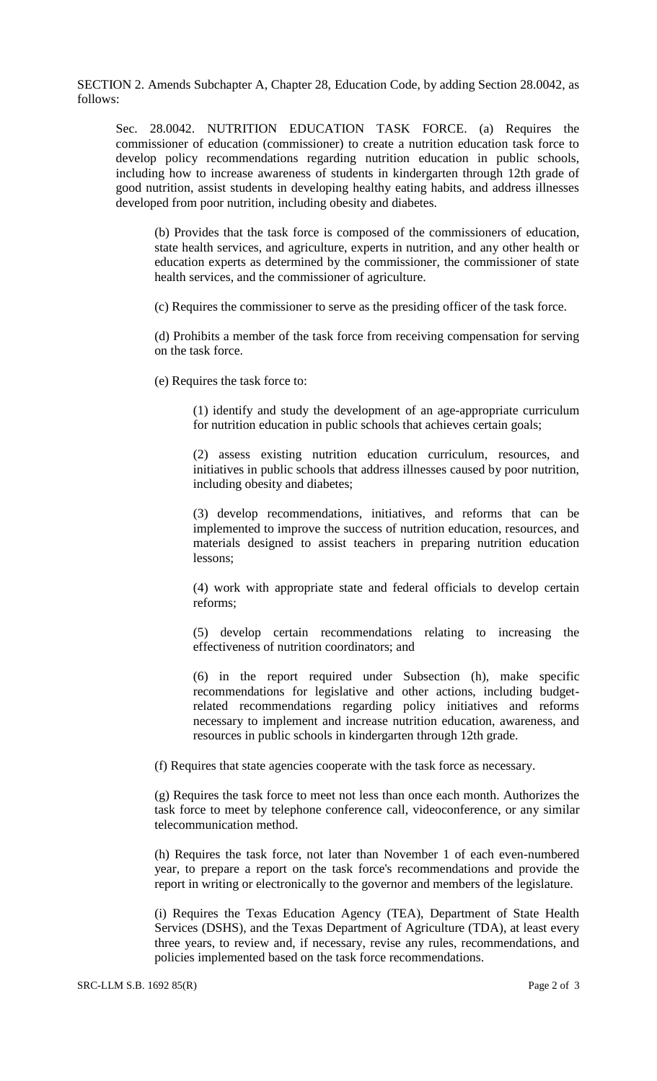SECTION 2. Amends Subchapter A, Chapter 28, Education Code, by adding Section 28.0042, as follows:

Sec. 28.0042. NUTRITION EDUCATION TASK FORCE. (a) Requires the commissioner of education (commissioner) to create a nutrition education task force to develop policy recommendations regarding nutrition education in public schools, including how to increase awareness of students in kindergarten through 12th grade of good nutrition, assist students in developing healthy eating habits, and address illnesses developed from poor nutrition, including obesity and diabetes.

(b) Provides that the task force is composed of the commissioners of education, state health services, and agriculture, experts in nutrition, and any other health or education experts as determined by the commissioner, the commissioner of state health services, and the commissioner of agriculture.

(c) Requires the commissioner to serve as the presiding officer of the task force.

(d) Prohibits a member of the task force from receiving compensation for serving on the task force.

(e) Requires the task force to:

(1) identify and study the development of an age-appropriate curriculum for nutrition education in public schools that achieves certain goals;

(2) assess existing nutrition education curriculum, resources, and initiatives in public schools that address illnesses caused by poor nutrition, including obesity and diabetes;

(3) develop recommendations, initiatives, and reforms that can be implemented to improve the success of nutrition education, resources, and materials designed to assist teachers in preparing nutrition education lessons;

(4) work with appropriate state and federal officials to develop certain reforms;

(5) develop certain recommendations relating to increasing the effectiveness of nutrition coordinators; and

(6) in the report required under Subsection (h), make specific recommendations for legislative and other actions, including budgetrelated recommendations regarding policy initiatives and reforms necessary to implement and increase nutrition education, awareness, and resources in public schools in kindergarten through 12th grade.

(f) Requires that state agencies cooperate with the task force as necessary.

(g) Requires the task force to meet not less than once each month. Authorizes the task force to meet by telephone conference call, videoconference, or any similar telecommunication method.

(h) Requires the task force, not later than November 1 of each even-numbered year, to prepare a report on the task force's recommendations and provide the report in writing or electronically to the governor and members of the legislature.

(i) Requires the Texas Education Agency (TEA), Department of State Health Services (DSHS), and the Texas Department of Agriculture (TDA), at least every three years, to review and, if necessary, revise any rules, recommendations, and policies implemented based on the task force recommendations.